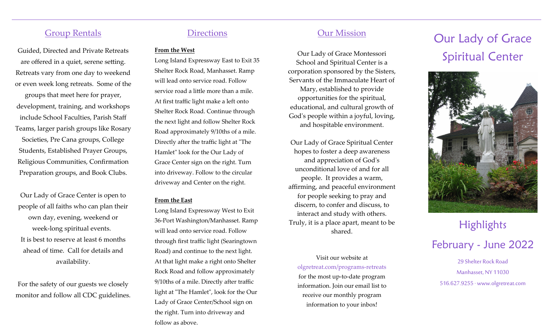# Group Rentals

Guided, Directed and Private Retreats are offered in a quiet, serene setting. Retreats vary from one day to weekend or even week long retreats. Some of the groups that meet here for prayer, development, training, and workshops include School Faculties, Parish Staff Teams, larger parish groups like Rosary Societies, Pre Cana groups, College Students, Established Prayer Groups, Religious Communities, Confirmation Preparation groups, and Book Clubs.

Our Lady of Grace Center is open to people of all faiths who can plan their own day, evening, weekend or week-long spiritual events. It is best to reserve at least 6 months ahead of time. Call for details and availability.

For the safety of our guests we closely monitor and follow all CDC guidelines.

# **Directions**

#### **From the West**

Long Island Expressway East to Exit 35 Shelter Rock Road, Manhasset. Ramp will lead onto service road. Follow service road a little more than a mile. At first traffic light make a left onto Shelter Rock Road. Continue through the next light and follow Shelter Rock Road approximately 9/10ths of a mile. Directly after the traffic light at "The Hamlet" look for the Our Lady of Grace Center sign on the right. Turn into driveway. Follow to the circular driveway and Center on the right.

#### **From the East**

Long Island Expressway West to Exit 36-Port Washington/Manhasset. Ramp will lead onto service road. Follow through first traffic light (Searingtown Road) and continue to the next light. At that light make a right onto Shelter Rock Road and follow approximately 9/10ths of a mile. Directly after traffic light at "The Hamlet", look for the Our Lady of Grace Center/School sign on the right. Turn into driveway and follow as above.

# Our Mission

Our Lady of Grace Montessori School and Spiritual Center is a corporation sponsored by the Sisters, Servants of the Immaculate Heart of Mary, established to provide opportunities for the spiritual, educational, and cultural growth of God's people within a joyful, loving, and hospitable environment.

Our Lady of Grace Spiritual Center hopes to foster a deep awareness and appreciation of God's unconditional love of and for all people. It provides a warm, affirming, and peaceful environment for people seeking to pray and discern, to confer and discuss, to interact and study with others. Truly, it is a place apart, meant to be shared.

Visit our website at olgretreat.com/programs-retreats for the most up-to-date program information. Join our email list to receive our monthly program information to your inbox!

# Our Lady of Grace Spiritual Center



# **Highlights** February - June 2022

29 Shelter Rock Road Manhasset, NY 11030 516.627.9255 · www.olgretreat.com